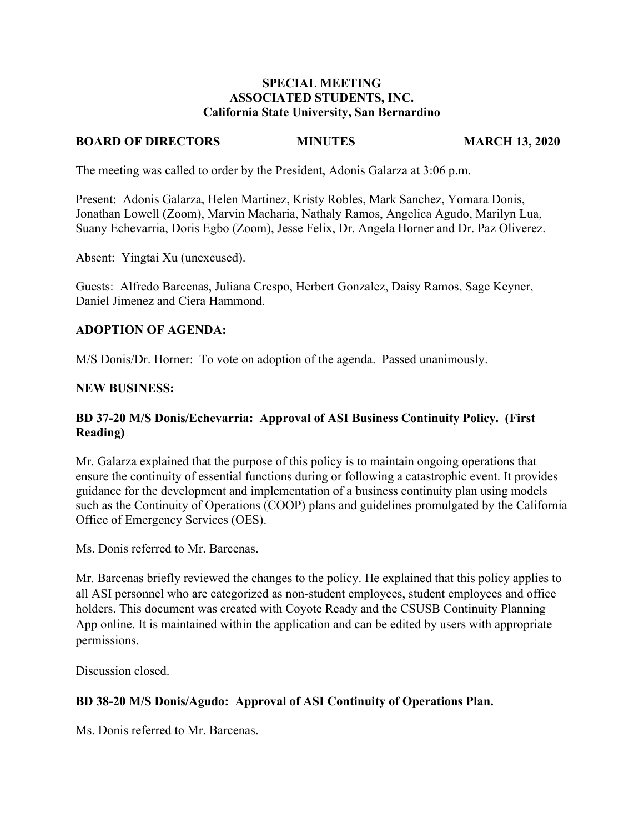### **SPECIAL MEETING ASSOCIATED STUDENTS, INC. California State University, San Bernardino**

#### **BOARD OF DIRECTORS MINUTES MARCH 13, 2020**

The meeting was called to order by the President, Adonis Galarza at 3:06 p.m.

Present: Adonis Galarza, Helen Martinez, Kristy Robles, Mark Sanchez, Yomara Donis, Jonathan Lowell (Zoom), Marvin Macharia, Nathaly Ramos, Angelica Agudo, Marilyn Lua, Suany Echevarria, Doris Egbo (Zoom), Jesse Felix, Dr. Angela Horner and Dr. Paz Oliverez.

Absent: Yingtai Xu (unexcused).

Guests: Alfredo Barcenas, Juliana Crespo, Herbert Gonzalez, Daisy Ramos, Sage Keyner, Daniel Jimenez and Ciera Hammond.

### **ADOPTION OF AGENDA:**

M/S Donis/Dr. Horner: To vote on adoption of the agenda. Passed unanimously.

### **NEW BUSINESS:**

### **BD 37-20 M/S Donis/Echevarria: Approval of ASI Business Continuity Policy. (First Reading)**

Mr. Galarza explained that the purpose of this policy is to maintain ongoing operations that ensure the continuity of essential functions during or following a catastrophic event. It provides guidance for the development and implementation of a business continuity plan using models such as the Continuity of Operations (COOP) plans and guidelines promulgated by the California Office of Emergency Services (OES).

Ms. Donis referred to Mr. Barcenas.

Mr. Barcenas briefly reviewed the changes to the policy. He explained that this policy applies to all ASI personnel who are categorized as non-student employees, student employees and office holders. This document was created with Coyote Ready and the CSUSB Continuity Planning App online. It is maintained within the application and can be edited by users with appropriate permissions.

Discussion closed.

### **BD 38-20 M/S Donis/Agudo: Approval of ASI Continuity of Operations Plan.**

Ms. Donis referred to Mr. Barcenas.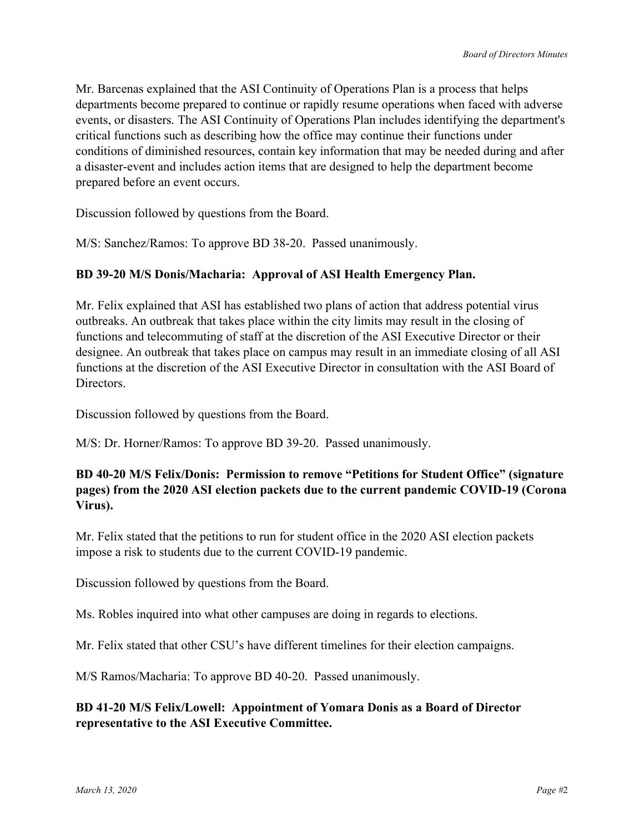Mr. Barcenas explained that the ASI Continuity of Operations Plan is a process that helps departments become prepared to continue or rapidly resume operations when faced with adverse events, or disasters. The ASI Continuity of Operations Plan includes identifying the department's critical functions such as describing how the office may continue their functions under conditions of diminished resources, contain key information that may be needed during and after a disaster-event and includes action items that are designed to help the department become prepared before an event occurs.

Discussion followed by questions from the Board.

M/S: Sanchez/Ramos: To approve BD 38-20. Passed unanimously.

### **BD 39-20 M/S Donis/Macharia: Approval of ASI Health Emergency Plan.**

Mr. Felix explained that ASI has established two plans of action that address potential virus outbreaks. An outbreak that takes place within the city limits may result in the closing of functions and telecommuting of staff at the discretion of the ASI Executive Director or their designee. An outbreak that takes place on campus may result in an immediate closing of all ASI functions at the discretion of the ASI Executive Director in consultation with the ASI Board of Directors.

Discussion followed by questions from the Board.

M/S: Dr. Horner/Ramos: To approve BD 39-20. Passed unanimously.

# **BD 40-20 M/S Felix/Donis: Permission to remove "Petitions for Student Office" (signature pages) from the 2020 ASI election packets due to the current pandemic COVID-19 (Corona Virus).**

Mr. Felix stated that the petitions to run for student office in the 2020 ASI election packets impose a risk to students due to the current COVID-19 pandemic.

Discussion followed by questions from the Board.

Ms. Robles inquired into what other campuses are doing in regards to elections.

Mr. Felix stated that other CSU's have different timelines for their election campaigns.

M/S Ramos/Macharia: To approve BD 40-20. Passed unanimously.

### **BD 41-20 M/S Felix/Lowell: Appointment of Yomara Donis as a Board of Director representative to the ASI Executive Committee.**